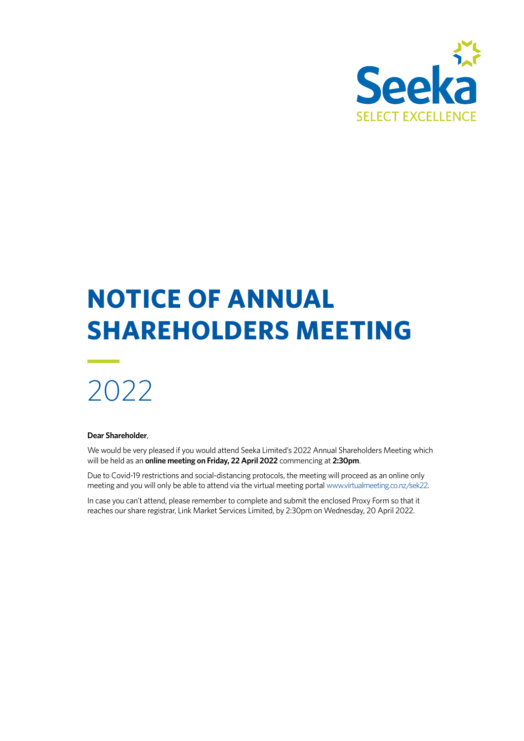

# **NOTICE OF ANNUAL SHAREHOLDERS MEETING**

# 2022

#### **Dear Shareholder**,

We would be very pleased if you would attend Seeka Limited's 2022 Annual Shareholders Meeting which will be held as an **online meeting on Friday, 22 April 2022** commencing at **2:30pm**.

Due to Covid-19 restrictions and social-distancing protocols, the meeting will proceed as an online only meeting and you will only be able to attend via the virtual meeting portal [www.virtualmeeting.co.nz/sek22.](http://www.virtualmeeting.co.nz/sek22)

In case you can't attend, please remember to complete and submit the enclosed Proxy Form so that it reaches our share registrar, Link Market Services Limited, by 2:30pm on Wednesday, 20 April 2022.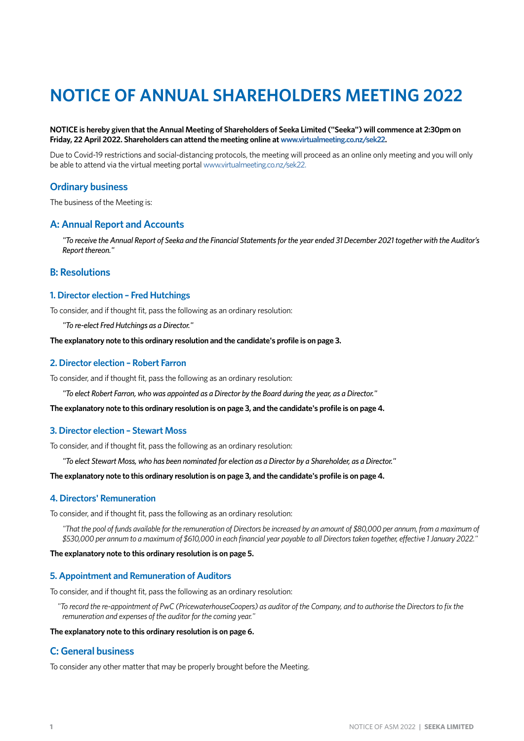## **NOTICE OF ANNUAL SHAREHOLDERS MEETING 2022**

#### **NOTICE is hereby given that the Annual Meeting of Shareholders of Seeka Limited ("Seeka") will commence at 2:30pm on Friday, 22 April 2022. Shareholders can attend the meeting online at [www.virtualmeeting.co.nz/sek22.](http://www.virtualmeeting.co.nz/sek22)**

Due to Covid-19 restrictions and social-distancing protocols, the meeting will proceed as an online only meeting and you will only be able to attend via the virtual meeting portal [www.virtualmeeting.co.nz/sek22](http://www.virtualmeeting.co.nz/sek22).

#### **Ordinary business**

The business of the Meeting is:

#### **A: Annual Report and Accounts**

*"To receive the Annual Report of Seeka and the Financial Statements for the year ended 31 December 2021 together with the Auditor's Report thereon."*

#### **B: Resolutions**

#### **1. Director election – Fred Hutchings**

To consider, and if thought fit, pass the following as an ordinary resolution:

*"To re-elect Fred Hutchings as a Director."*

**The explanatory note to this ordinary resolution and the candidate's profile is on [page 3.](#page-3-0)**

#### **2. Director election – Robert Farron**

To consider, and if thought fit, pass the following as an ordinary resolution:

*"To elect Robert Farron, who was appointed as a Director by the Board during the year, as a Director."*

**The explanatory note to this ordinary resolution is on [page 3](#page-3-0), and the candidate's profile is on [page 4.](#page-4-0)**

#### **3. Director election – Stewart Moss**

To consider, and if thought fit, pass the following as an ordinary resolution:

*"To elect Stewart Moss, who has been nominated for election as a Director by a Shareholder, as a Director."*

**The explanatory note to this ordinary resolution is on [page 3](#page-3-0), and the candidate's profile is on [page 4.](#page-4-1)**

#### **4. Directors' Remuneration**

To consider, and if thought fit, pass the following as an ordinary resolution:

*"That the pool of funds available for the remuneration of Directors be increased by an amount of \$80,000 per annum, from a maximum of \$530,000 per annum to a maximum of \$610,000 in each financial year payable to all Directors taken together, effective 1 January 2022."*

#### **The explanatory note to this ordinary resolution is on [page 5](#page-5-0).**

#### **5. Appointment and Remuneration of Auditors**

To consider, and if thought fit, pass the following as an ordinary resolution:

*"To record the re-appointment of PwC (PricewaterhouseCoopers) as auditor of the Company, and to authorise the Directors to fix the remuneration and expenses of the auditor for the coming year."*

#### **The explanatory note to this ordinary resolution is on [page 6.](#page-6-0)**

#### **C: General business**

To consider any other matter that may be properly brought before the Meeting.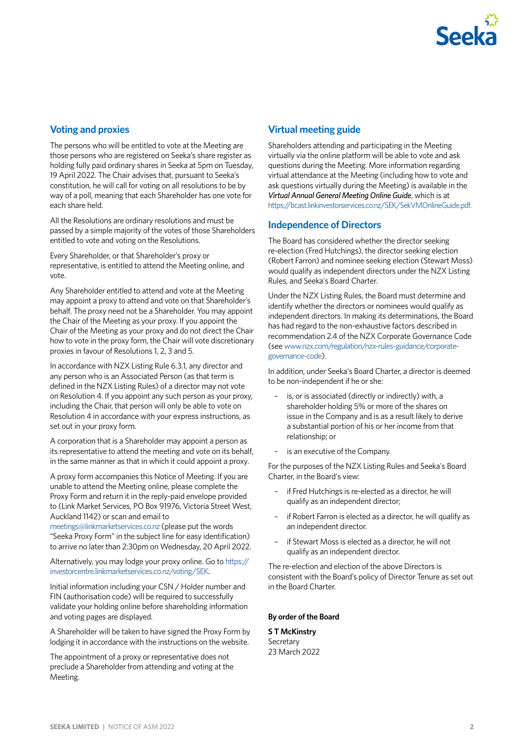

#### **Voting and proxies**

The persons who will be entitled to vote at the Meeting are those persons who are registered on Seeka's share register as holding fully paid ordinary shares in Seeka at 5pm on Tuesday, 19 April 2022. The Chair advises that, pursuant to Seeka's constitution, he will call for voting on all resolutions to be by way of a poll, meaning that each Shareholder has one vote for each share held.

All the Resolutions are ordinary resolutions and must be passed by a simple majority of the votes of those Shareholders entitled to vote and voting on the Resolutions.

Every Shareholder, or that Shareholder's proxy or representative, is entitled to attend the Meeting online, and vote.

Any Shareholder entitled to attend and vote at the Meeting may appoint a proxy to attend and vote on that Shareholder's behalf. The proxy need not be a Shareholder. You may appoint the Chair of the Meeting as your proxy. If you appoint the Chair of the Meeting as your proxy and do not direct the Chair how to vote in the proxy form, the Chair will vote discretionary proxies in favour of Resolutions 1, 2, 3 and 5.

In accordance with NZX Listing Rule 6.3.1, any director and any person who is an Associated Person (as that term is defined in the NZX Listing Rules) of a director may not vote on Resolution 4. If you appoint any such person as your proxy, including the Chair, that person will only be able to vote on Resolution 4 in accordance with your express instructions, as set out in your proxy form.

A corporation that is a Shareholder may appoint a person as its representative to attend the meeting and vote on its behalf, in the same manner as that in which it could appoint a proxy.

A proxy form accompanies this Notice of Meeting. If you are unable to attend the Meeting online, please complete the Proxy Form and return it in the reply-paid envelope provided to (Link Market Services, PO Box 91976, Victoria Street West, Auckland 1142) or scan and email to

[meetings@linkmarketservices.co.nz](mailto:meetings%40linkmarketservices.co.nz?subject=Seeka%20Proxy%20Form) (please put the words "Seeka Proxy Form" in the subject line for easy identification) to arrive no later than 2:30pm on Wednesday, 20 April 2022.

Alternatively, you may lodge your proxy online. Go to [https://](https://investorcentre.linkmarketservices.co.nz/voting/SEK) [investorcentre.linkmarketservices.co.nz/voting/SEK.](https://investorcentre.linkmarketservices.co.nz/voting/SEK)

Initial information including your CSN / Holder number and FIN (authorisation code) will be required to successfully validate your holding online before shareholding information and voting pages are displayed.

A Shareholder will be taken to have signed the Proxy Form by lodging it in accordance with the instructions on the website.

The appointment of a proxy or representative does not preclude a Shareholder from attending and voting at the Meeting.

#### **Virtual meeting guide**

Shareholders attending and participating in the Meeting virtually via the online platform will be able to vote and ask questions during the Meeting. More information regarding virtual attendance at the Meeting (including how to vote and ask questions virtually during the Meeting) is available in the *Virtual Annual General Meeting Online Guide*, which is at <https://bcast.linkinvestorservices.co.nz/SEK/SekVMOnlineGuide.pdf>.

#### **Independence of Directors**

The Board has considered whether the director seeking re-election (Fred Hutchings), the director seeking election (Robert Farron) and nominee seeking election (Stewart Moss) would qualify as independent directors under the NZX Listing Rules, and Seeka's Board Charter.

Under the NZX Listing Rules, the Board must determine and identify whether the directors or nominees would qualify as independent directors. In making its determinations, the Board has had regard to the non-exhaustive factors described in recommendation 2.4 of the NZX Corporate Governance Code (see [www.nzx.com/regulation/nzx-rules-guidance/corporate](http://www.nzx.com/regulation/nzx-rules-guidance/corporate-governance-code)[governance-code](http://www.nzx.com/regulation/nzx-rules-guidance/corporate-governance-code)).

In addition, under Seeka's Board Charter, a director is deemed to be non-independent if he or she:

- is, or is associated (directly or indirectly) with, a shareholder holding 5% or more of the shares on issue in the Company and is as a result likely to derive a substantial portion of his or her income from that relationship; or
- is an executive of the Company.

For the purposes of the NZX Listing Rules and Seeka's Board Charter, in the Board's view:

- if Fred Hutchings is re-elected as a director, he will qualify as an independent director;
- if Robert Farron is elected as a director, he will qualify as an independent director.
- if Stewart Moss is elected as a director, he will not qualify as an independent director.

The re-election and election of the above Directors is consistent with the Board's policy of Director Tenure as set out in the Board Charter.

#### **By order of the Board**

**S T McKinstry** Secretary 23 March 2022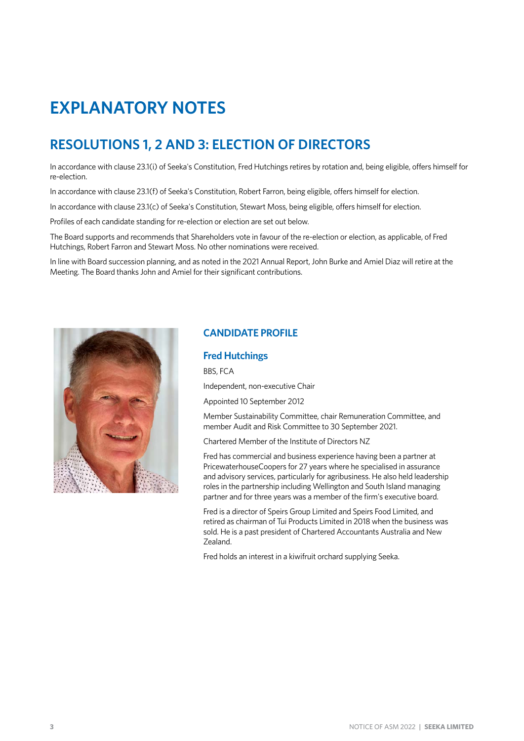# **EXPLANATORY NOTES**

### <span id="page-3-0"></span>**RESOLUTIONS 1, 2 AND 3: ELECTION OF DIRECTORS**

In accordance with clause 23.1(i) of Seeka's Constitution, Fred Hutchings retires by rotation and, being eligible, offers himself for re-election.

In accordance with clause 23.1(f) of Seeka's Constitution, Robert Farron, being eligible, offers himself for election.

In accordance with clause 23.1(c) of Seeka's Constitution, Stewart Moss, being eligible, offers himself for election.

Profiles of each candidate standing for re-election or election are set out below.

The Board supports and recommends that Shareholders vote in favour of the re-election or election, as applicable, of Fred Hutchings, Robert Farron and Stewart Moss. No other nominations were received.

In line with Board succession planning, and as noted in the 2021 Annual Report, John Burke and Amiel Diaz will retire at the Meeting. The Board thanks John and Amiel for their significant contributions.



#### **CANDIDATE PROFILE**

#### **Fred Hutchings**

BBS, FCA

Independent, non-executive Chair

Appointed 10 September 2012

Member Sustainability Committee, chair Remuneration Committee, and member Audit and Risk Committee to 30 September 2021.

Chartered Member of the Institute of Directors NZ

Fred has commercial and business experience having been a partner at PricewaterhouseCoopers for 27 years where he specialised in assurance and advisory services, particularly for agribusiness. He also held leadership roles in the partnership including Wellington and South Island managing partner and for three years was a member of the firm's executive board.

Fred is a director of Speirs Group Limited and Speirs Food Limited, and retired as chairman of Tui Products Limited in 2018 when the business was sold. He is a past president of Chartered Accountants Australia and New Zealand.

Fred holds an interest in a kiwifruit orchard supplying Seeka.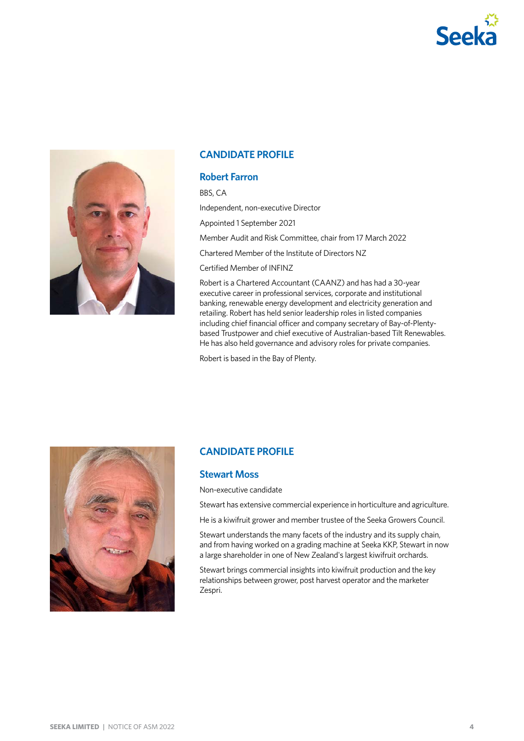



#### **CANDIDATE PROFILE**

#### <span id="page-4-0"></span>**Robert Farron**

BBS, CA

Independent, non-executive Director

Appointed 1 September 2021

Member Audit and Risk Committee, chair from 17 March 2022

Chartered Member of the Institute of Directors NZ

Certified Member of INFINZ

Robert is a Chartered Accountant (CAANZ) and has had a 30-year executive career in professional services, corporate and institutional banking, renewable energy development and electricity generation and retailing. Robert has held senior leadership roles in listed companies including chief financial officer and company secretary of Bay-of-Plentybased Trustpower and chief executive of Australian-based Tilt Renewables. He has also held governance and advisory roles for private companies.

Robert is based in the Bay of Plenty.



#### **CANDIDATE PROFILE**

#### <span id="page-4-1"></span>**Stewart Moss**

Non-executive candidate

Stewart has extensive commercial experience in horticulture and agriculture.

He is a kiwifruit grower and member trustee of the Seeka Growers Council.

Stewart understands the many facets of the industry and its supply chain, and from having worked on a grading machine at Seeka KKP, Stewart in now a large shareholder in one of New Zealand's largest kiwifruit orchards.

Stewart brings commercial insights into kiwifruit production and the key relationships between grower, post harvest operator and the marketer Zespri.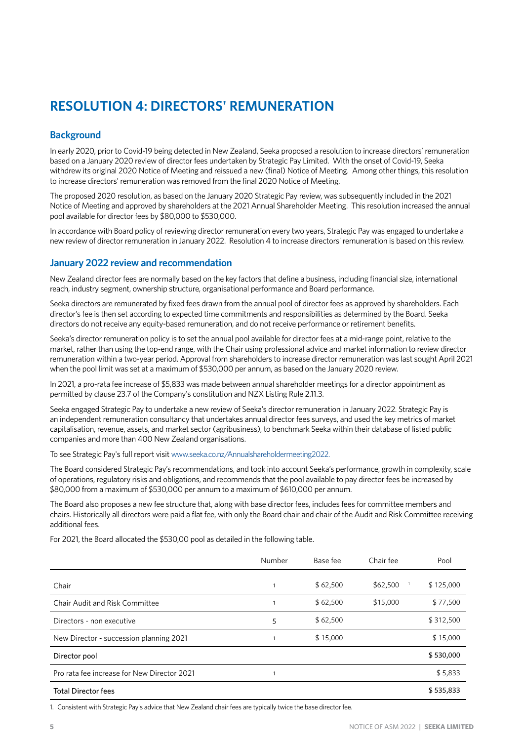## <span id="page-5-0"></span>**RESOLUTION 4: DIRECTORS' REMUNERATION**

#### **Background**

In early 2020, prior to Covid-19 being detected in New Zealand, Seeka proposed a resolution to increase directors' remuneration based on a January 2020 review of director fees undertaken by Strategic Pay Limited. With the onset of Covid-19, Seeka withdrew its original 2020 Notice of Meeting and reissued a new (final) Notice of Meeting. Among other things, this resolution to increase directors' remuneration was removed from the final 2020 Notice of Meeting.

The proposed 2020 resolution, as based on the January 2020 Strategic Pay review, was subsequently included in the 2021 Notice of Meeting and approved by shareholders at the 2021 Annual Shareholder Meeting. This resolution increased the annual pool available for director fees by \$80,000 to \$530,000.

In accordance with Board policy of reviewing director remuneration every two years, Strategic Pay was engaged to undertake a new review of director remuneration in January 2022. Resolution 4 to increase directors' remuneration is based on this review.

#### **January 2022 review and recommendation**

New Zealand director fees are normally based on the key factors that define a business, including financial size, international reach, industry segment, ownership structure, organisational performance and Board performance.

Seeka directors are remunerated by fixed fees drawn from the annual pool of director fees as approved by shareholders. Each director's fee is then set according to expected time commitments and responsibilities as determined by the Board. Seeka directors do not receive any equity-based remuneration, and do not receive performance or retirement benefits.

Seeka's director remuneration policy is to set the annual pool available for director fees at a mid-range point, relative to the market, rather than using the top-end range, with the Chair using professional advice and market information to review director remuneration within a two-year period. Approval from shareholders to increase director remuneration was last sought April 2021 when the pool limit was set at a maximum of \$530,000 per annum, as based on the January 2020 review.

In 2021, a pro-rata fee increase of \$5,833 was made between annual shareholder meetings for a director appointment as permitted by clause 23.7 of the Company's constitution and NZX Listing Rule 2.11.3.

Seeka engaged Strategic Pay to undertake a new review of Seeka's director remuneration in January 2022. Strategic Pay is an independent remuneration consultancy that undertakes annual director fees surveys, and used the key metrics of market capitalisation, revenue, assets, and market sector (agribusiness), to benchmark Seeka within their database of listed public companies and more than 400 New Zealand organisations.

To see Strategic Pay's full report visit [www.seeka.co.nz/Annualshareholdermeeting2022](https://www.seeka.co.nz/annualstakeholdermeeting2022).

The Board considered Strategic Pay's recommendations, and took into account Seeka's performance, growth in complexity, scale of operations, regulatory risks and obligations, and recommends that the pool available to pay director fees be increased by \$80,000 from a maximum of \$530,000 per annum to a maximum of \$610,000 per annum.

The Board also proposes a new fee structure that, along with base director fees, includes fees for committee members and chairs. Historically all directors were paid a flat fee, with only the Board chair and chair of the Audit and Risk Committee receiving additional fees.

For 2021, the Board allocated the \$530,00 pool as detailed in the following table.

|                                             | Number | Base fee | Chair fee | Pool      |
|---------------------------------------------|--------|----------|-----------|-----------|
| Chair                                       |        | \$62,500 | \$62,500  | \$125,000 |
| Chair Audit and Risk Committee              |        | \$62,500 | \$15,000  | \$77,500  |
| Directors - non executive                   | 5      | \$62,500 |           | \$312,500 |
| New Director - succession planning 2021     |        | \$15,000 |           | \$15,000  |
| Director pool                               |        |          |           | \$530,000 |
| Pro rata fee increase for New Director 2021 |        |          |           | \$5,833   |
| <b>Total Director fees</b>                  |        |          |           | \$535,833 |

1. Consistent with Strategic Pay's advice that New Zealand chair fees are typically twice the base director fee.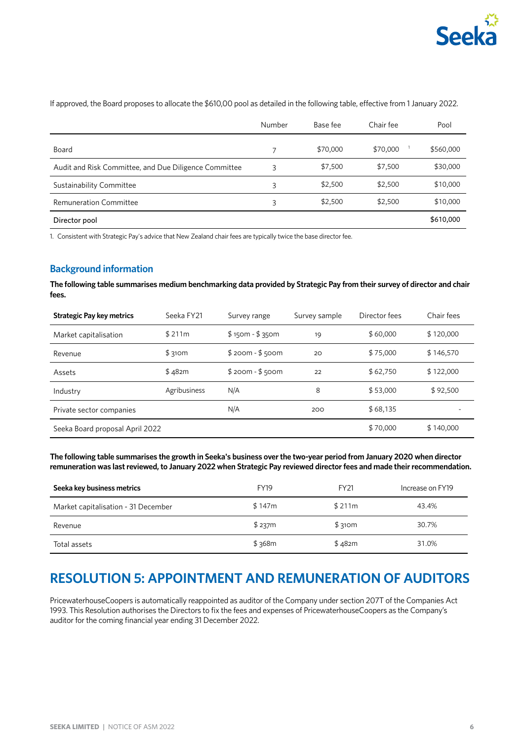

|                                                       | Number | Base fee | Chair fee | Pool      |
|-------------------------------------------------------|--------|----------|-----------|-----------|
| Board                                                 |        | \$70,000 | \$70,000  | \$560,000 |
| Audit and Risk Committee, and Due Diligence Committee | 3      | \$7,500  | \$7,500   | \$30,000  |
| Sustainability Committee                              | 3      | \$2,500  | \$2,500   | \$10,000  |
| <b>Remuneration Committee</b>                         | 3      | \$2,500  | \$2,500   | \$10,000  |
| Director pool                                         |        |          |           | \$610,000 |

If approved, the Board proposes to allocate the \$610,00 pool as detailed in the following table, effective from 1 January 2022.

1. Consistent with Strategic Pay's advice that New Zealand chair fees are typically twice the base director fee.

#### **Background information**

**The following table summarises medium benchmarking data provided by Strategic Pay from their survey of director and chair fees.**

| <b>Strategic Pay key metrics</b> | Seeka FY21   | Survey range    | Survey sample | Director fees | Chair fees |
|----------------------------------|--------------|-----------------|---------------|---------------|------------|
| Market capitalisation            | \$211m       | $$150m - $350m$ | 19            | \$60,000      | \$120,000  |
| Revenue                          | \$310m       | $$200m - $500m$ | 20            | \$75,000      | \$146,570  |
| Assets                           | \$482m       | $$200m - $500m$ | 22            | \$62,750      | \$122,000  |
| Industry                         | Agribusiness | N/A             | 8             | \$53,000      | \$92,500   |
| Private sector companies         |              | N/A             | 200           | \$68,135      |            |
| Seeka Board proposal April 2022  |              |                 |               | \$70,000      | \$140,000  |

**The following table summarises the growth in Seeka's business over the two-year period from January 2020 when director remuneration was last reviewed, to January 2022 when Strategic Pay reviewed director fees and made their recommendation.** 

| Seeka key business metrics          | <b>FY19</b> | <b>FY21</b> | Increase on FY19 |
|-------------------------------------|-------------|-------------|------------------|
| Market capitalisation - 31 December | \$147m      | \$211m      | 43.4%            |
| Revenue                             | \$237m      | \$310m      | 30.7%            |
| Total assets                        | \$368m      | \$482m      | 31.0%            |

### <span id="page-6-0"></span>**RESOLUTION 5: APPOINTMENT AND REMUNERATION OF AUDITORS**

PricewaterhouseCoopers is automatically reappointed as auditor of the Company under section 207T of the Companies Act 1993. This Resolution authorises the Directors to fix the fees and expenses of PricewaterhouseCoopers as the Company's auditor for the coming financial year ending 31 December 2022.